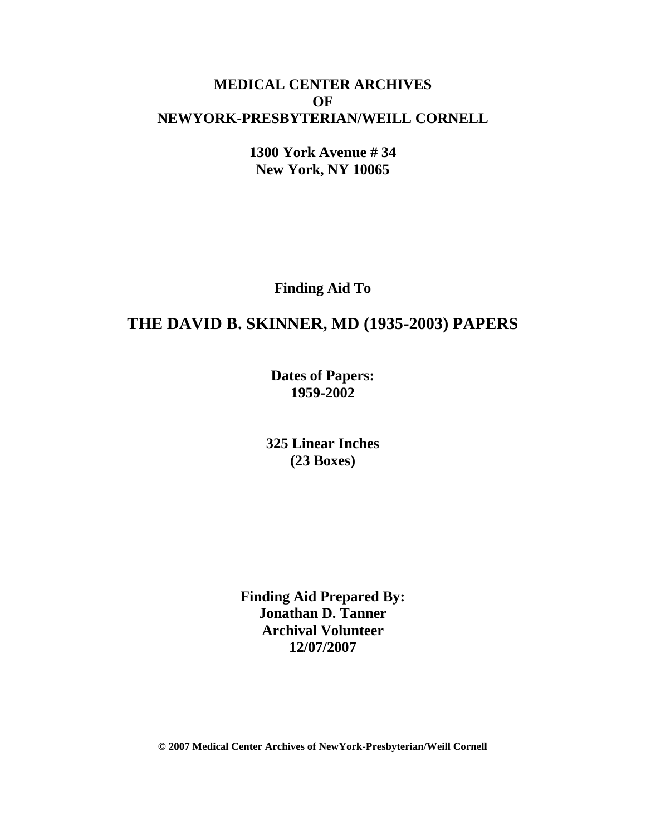## **MEDICAL CENTER ARCHIVES OF NEWYORK-PRESBYTERIAN/WEILL CORNELL**

**1300 York Avenue # 34 New York, NY 10065**

**Finding Aid To**

# **THE DAVID B. SKINNER, MD (1935-2003) PAPERS**

**Dates of Papers: 1959-2002**

**325 Linear Inches (23 Boxes)**

**Finding Aid Prepared By: Jonathan D. Tanner Archival Volunteer 12/07/2007**

**© 2007 Medical Center Archives of NewYork-Presbyterian/Weill Cornell**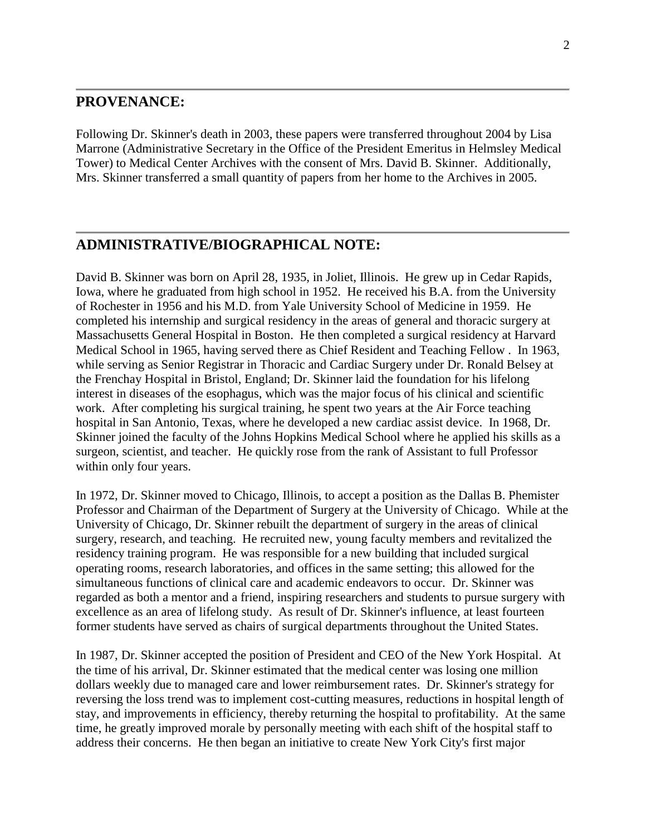#### **PROVENANCE:**

Following Dr. Skinner's death in 2003, these papers were transferred throughout 2004 by Lisa Marrone (Administrative Secretary in the Office of the President Emeritus in Helmsley Medical Tower) to Medical Center Archives with the consent of Mrs. David B. Skinner. Additionally, Mrs. Skinner transferred a small quantity of papers from her home to the Archives in 2005.

### **ADMINISTRATIVE/BIOGRAPHICAL NOTE:**

David B. Skinner was born on April 28, 1935, in Joliet, Illinois. He grew up in Cedar Rapids, Iowa, where he graduated from high school in 1952. He received his B.A. from the University of Rochester in 1956 and his M.D. from Yale University School of Medicine in 1959. He completed his internship and surgical residency in the areas of general and thoracic surgery at Massachusetts General Hospital in Boston. He then completed a surgical residency at Harvard Medical School in 1965, having served there as Chief Resident and Teaching Fellow . In 1963, while serving as Senior Registrar in Thoracic and Cardiac Surgery under Dr. Ronald Belsey at the Frenchay Hospital in Bristol, England; Dr. Skinner laid the foundation for his lifelong interest in diseases of the esophagus, which was the major focus of his clinical and scientific work. After completing his surgical training, he spent two years at the Air Force teaching hospital in San Antonio, Texas, where he developed a new cardiac assist device. In 1968, Dr. Skinner joined the faculty of the Johns Hopkins Medical School where he applied his skills as a surgeon, scientist, and teacher. He quickly rose from the rank of Assistant to full Professor within only four years.

In 1972, Dr. Skinner moved to Chicago, Illinois, to accept a position as the Dallas B. Phemister Professor and Chairman of the Department of Surgery at the University of Chicago. While at the University of Chicago, Dr. Skinner rebuilt the department of surgery in the areas of clinical surgery, research, and teaching. He recruited new, young faculty members and revitalized the residency training program. He was responsible for a new building that included surgical operating rooms, research laboratories, and offices in the same setting; this allowed for the simultaneous functions of clinical care and academic endeavors to occur. Dr. Skinner was regarded as both a mentor and a friend, inspiring researchers and students to pursue surgery with excellence as an area of lifelong study. As result of Dr. Skinner's influence, at least fourteen former students have served as chairs of surgical departments throughout the United States.

In 1987, Dr. Skinner accepted the position of President and CEO of the New York Hospital. At the time of his arrival, Dr. Skinner estimated that the medical center was losing one million dollars weekly due to managed care and lower reimbursement rates. Dr. Skinner's strategy for reversing the loss trend was to implement cost-cutting measures, reductions in hospital length of stay, and improvements in efficiency, thereby returning the hospital to profitability. At the same time, he greatly improved morale by personally meeting with each shift of the hospital staff to address their concerns. He then began an initiative to create New York City's first major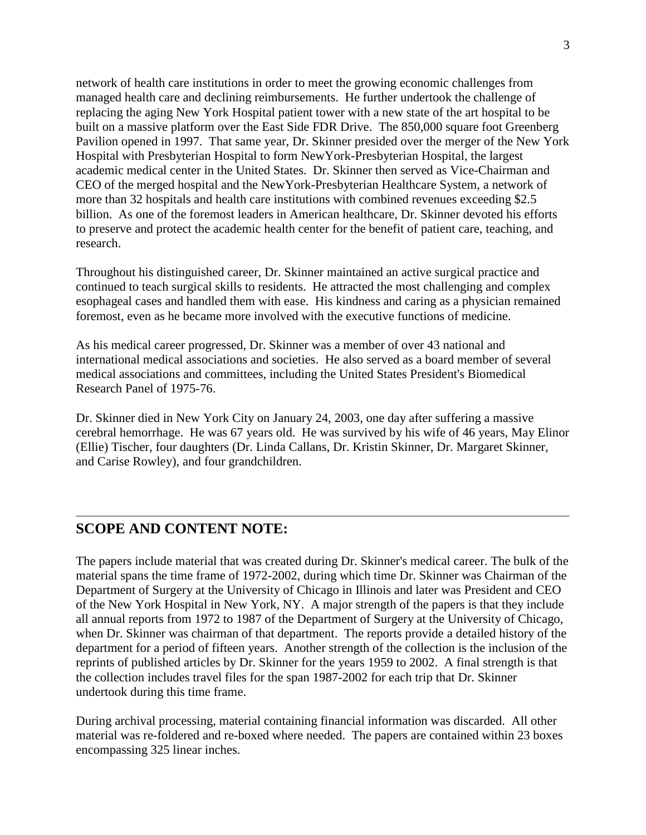network of health care institutions in order to meet the growing economic challenges from managed health care and declining reimbursements. He further undertook the challenge of replacing the aging New York Hospital patient tower with a new state of the art hospital to be built on a massive platform over the East Side FDR Drive. The 850,000 square foot Greenberg Pavilion opened in 1997. That same year, Dr. Skinner presided over the merger of the New York Hospital with Presbyterian Hospital to form NewYork-Presbyterian Hospital, the largest academic medical center in the United States. Dr. Skinner then served as Vice-Chairman and CEO of the merged hospital and the NewYork-Presbyterian Healthcare System, a network of more than 32 hospitals and health care institutions with combined revenues exceeding \$2.5 billion. As one of the foremost leaders in American healthcare, Dr. Skinner devoted his efforts to preserve and protect the academic health center for the benefit of patient care, teaching, and research.

Throughout his distinguished career, Dr. Skinner maintained an active surgical practice and continued to teach surgical skills to residents. He attracted the most challenging and complex esophageal cases and handled them with ease. His kindness and caring as a physician remained foremost, even as he became more involved with the executive functions of medicine.

As his medical career progressed, Dr. Skinner was a member of over 43 national and international medical associations and societies. He also served as a board member of several medical associations and committees, including the United States President's Biomedical Research Panel of 1975-76.

Dr. Skinner died in New York City on January 24, 2003, one day after suffering a massive cerebral hemorrhage. He was 67 years old. He was survived by his wife of 46 years, May Elinor (Ellie) Tischer, four daughters (Dr. Linda Callans, Dr. Kristin Skinner, Dr. Margaret Skinner, and Carise Rowley), and four grandchildren.

### **SCOPE AND CONTENT NOTE:**

The papers include material that was created during Dr. Skinner's medical career. The bulk of the material spans the time frame of 1972-2002, during which time Dr. Skinner was Chairman of the Department of Surgery at the University of Chicago in Illinois and later was President and CEO of the New York Hospital in New York, NY. A major strength of the papers is that they include all annual reports from 1972 to 1987 of the Department of Surgery at the University of Chicago, when Dr. Skinner was chairman of that department. The reports provide a detailed history of the department for a period of fifteen years. Another strength of the collection is the inclusion of the reprints of published articles by Dr. Skinner for the years 1959 to 2002. A final strength is that the collection includes travel files for the span 1987-2002 for each trip that Dr. Skinner undertook during this time frame.

During archival processing, material containing financial information was discarded. All other material was re-foldered and re-boxed where needed. The papers are contained within 23 boxes encompassing 325 linear inches.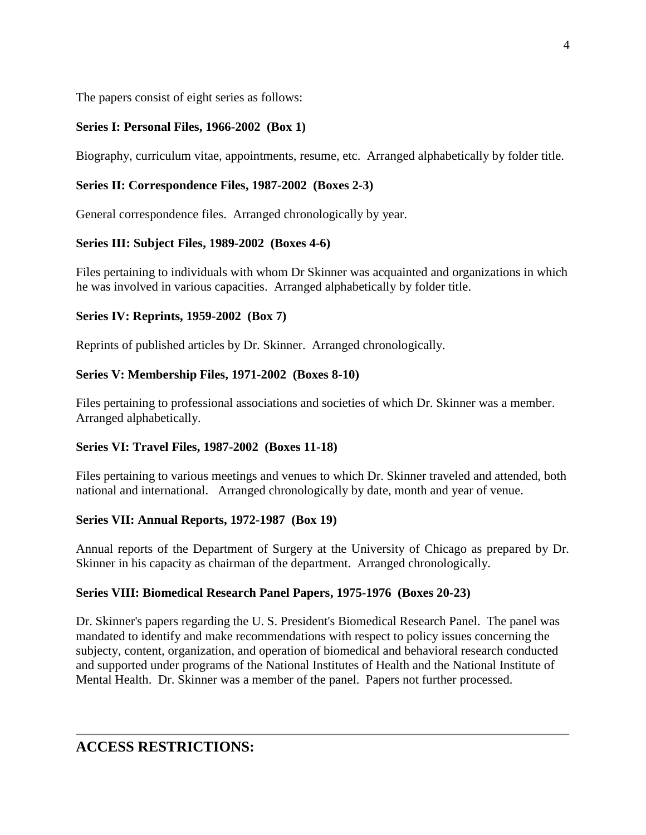The papers consist of eight series as follows:

### **Series I: Personal Files, 1966-2002 (Box 1)**

Biography, curriculum vitae, appointments, resume, etc. Arranged alphabetically by folder title.

#### **Series II: Correspondence Files, 1987-2002 (Boxes 2-3)**

General correspondence files. Arranged chronologically by year.

### **Series III: Subject Files, 1989-2002 (Boxes 4-6)**

Files pertaining to individuals with whom Dr Skinner was acquainted and organizations in which he was involved in various capacities. Arranged alphabetically by folder title.

#### **Series IV: Reprints, 1959-2002 (Box 7)**

Reprints of published articles by Dr. Skinner. Arranged chronologically.

#### **Series V: Membership Files, 1971-2002 (Boxes 8-10)**

Files pertaining to professional associations and societies of which Dr. Skinner was a member. Arranged alphabetically.

### **Series VI: Travel Files, 1987-2002 (Boxes 11-18)**

Files pertaining to various meetings and venues to which Dr. Skinner traveled and attended, both national and international. Arranged chronologically by date, month and year of venue.

#### **Series VII: Annual Reports, 1972-1987 (Box 19)**

Annual reports of the Department of Surgery at the University of Chicago as prepared by Dr. Skinner in his capacity as chairman of the department. Arranged chronologically.

#### **Series VIII: Biomedical Research Panel Papers, 1975-1976 (Boxes 20-23)**

Dr. Skinner's papers regarding the U. S. President's Biomedical Research Panel. The panel was mandated to identify and make recommendations with respect to policy issues concerning the subjecty, content, organization, and operation of biomedical and behavioral research conducted and supported under programs of the National Institutes of Health and the National Institute of Mental Health. Dr. Skinner was a member of the panel. Papers not further processed.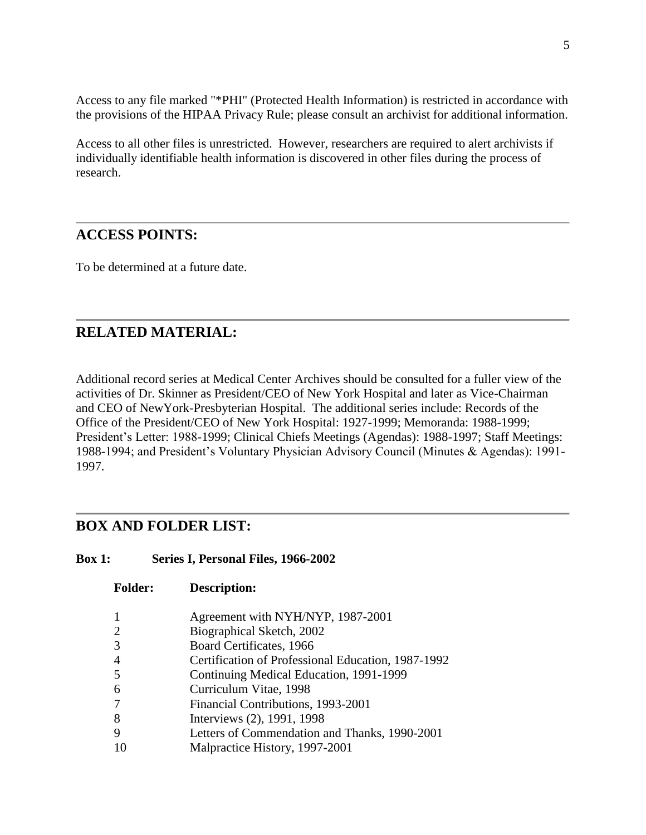Access to any file marked "\*PHI" (Protected Health Information) is restricted in accordance with the provisions of the HIPAA Privacy Rule; please consult an archivist for additional information.

Access to all other files is unrestricted. However, researchers are required to alert archivists if individually identifiable health information is discovered in other files during the process of research.

#### **ACCESS POINTS:**

To be determined at a future date.

### **RELATED MATERIAL:**

Additional record series at Medical Center Archives should be consulted for a fuller view of the activities of Dr. Skinner as President/CEO of New York Hospital and later as Vice-Chairman and CEO of NewYork-Presbyterian Hospital. The additional series include: Records of the Office of the President/CEO of New York Hospital: 1927-1999; Memoranda: 1988-1999; President's Letter: 1988-1999; Clinical Chiefs Meetings (Agendas): 1988-1997; Staff Meetings: 1988-1994; and President's Voluntary Physician Advisory Council (Minutes & Agendas): 1991- 1997.

### **BOX AND FOLDER LIST:**

| Series I, Personal Files, 1966-2002 | <b>Box 1:</b> |  |  |  |  |
|-------------------------------------|---------------|--|--|--|--|
|-------------------------------------|---------------|--|--|--|--|

**Folder: Description:**

| 1              | Agreement with NYH/NYP, 1987-2001                  |
|----------------|----------------------------------------------------|
| $\overline{2}$ | Biographical Sketch, 2002                          |
| 3              | Board Certificates, 1966                           |
| 4              | Certification of Professional Education, 1987-1992 |
| 5              | Continuing Medical Education, 1991-1999            |
| 6              | Curriculum Vitae, 1998                             |
| 7              | Financial Contributions, 1993-2001                 |
| 8              | Interviews (2), 1991, 1998                         |
| 9              | Letters of Commendation and Thanks, 1990-2001      |
| 10             | Malpractice History, 1997-2001                     |
|                |                                                    |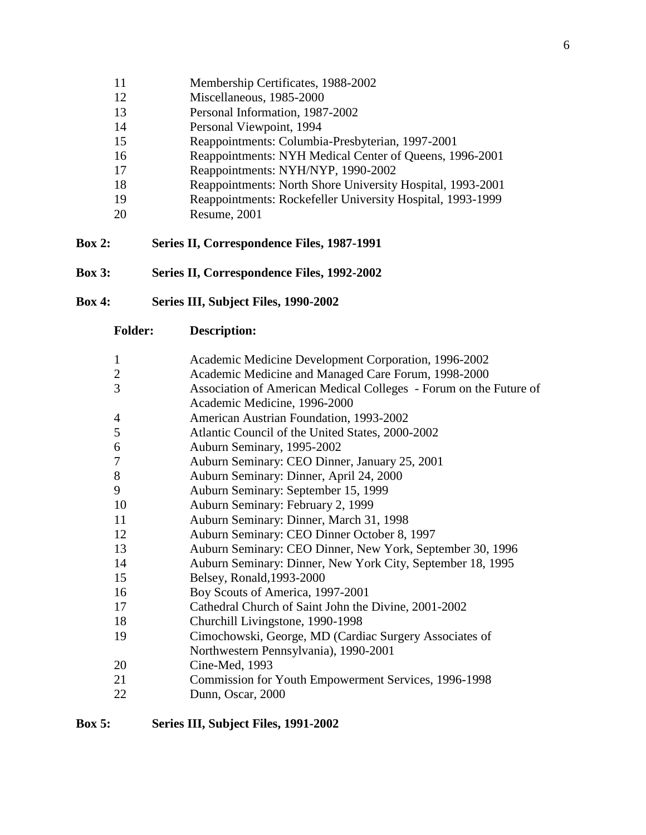- Membership Certificates, 1988-2002
- Miscellaneous, 1985-2000
- Personal Information, 1987-2002
- Personal Viewpoint, 1994
- Reappointments: Columbia-Presbyterian, 1997-2001
- Reappointments: NYH Medical Center of Queens, 1996-2001
- Reappointments: NYH/NYP, 1990-2002
- Reappointments: North Shore University Hospital, 1993-2001
- Reappointments: Rockefeller University Hospital, 1993-1999
- Resume, 2001
- **Box 2: Series II, Correspondence Files, 1987-1991**
- **Box 3: Series II, Correspondence Files, 1992-2002**
- **Box 4: Series III, Subject Files, 1990-2002**

- Academic Medicine Development Corporation, 1996-2002
- Academic Medicine and Managed Care Forum, 1998-2000
- Association of American Medical Colleges Forum on the Future of Academic Medicine, 1996-2000
- American Austrian Foundation, 1993-2002
- Atlantic Council of the United States, 2000-2002
- Auburn Seminary, 1995-2002
- Auburn Seminary: CEO Dinner, January 25, 2001
- Auburn Seminary: Dinner, April 24, 2000
- Auburn Seminary: September 15, 1999
- Auburn Seminary: February 2, 1999
- Auburn Seminary: Dinner, March 31, 1998
- Auburn Seminary: CEO Dinner October 8, 1997
- Auburn Seminary: CEO Dinner, New York, September 30, 1996
- Auburn Seminary: Dinner, New York City, September 18, 1995
- Belsey, Ronald,1993-2000
- Boy Scouts of America, 1997-2001
- Cathedral Church of Saint John the Divine, 2001-2002
- Churchill Livingstone, 1990-1998
- Cimochowski, George, MD (Cardiac Surgery Associates of Northwestern Pennsylvania), 1990-2001
- Cine-Med, 1993
- Commission for Youth Empowerment Services, 1996-1998
- Dunn, Oscar, 2000

#### **Box 5: Series III, Subject Files, 1991-2002**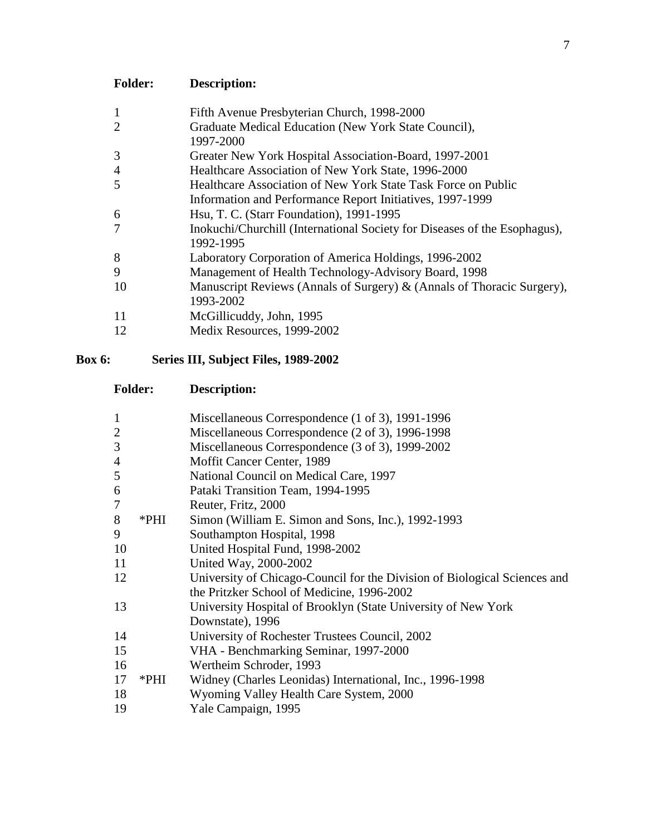| <b>Description:</b>                                                                    |
|----------------------------------------------------------------------------------------|
| Fifth Avenue Presbyterian Church, 1998-2000                                            |
| Graduate Medical Education (New York State Council),<br>1997-2000                      |
| Greater New York Hospital Association-Board, 1997-2001                                 |
| Healthcare Association of New York State, 1996-2000                                    |
| Healthcare Association of New York State Task Force on Public                          |
| Information and Performance Report Initiatives, 1997-1999                              |
| Hsu, T. C. (Starr Foundation), 1991-1995                                               |
| Inokuchi/Churchill (International Society for Diseases of the Esophagus),<br>1992-1995 |
| Laboratory Corporation of America Holdings, 1996-2002                                  |
| Management of Health Technology-Advisory Board, 1998                                   |
| Manuscript Reviews (Annals of Surgery) & (Annals of Thoracic Surgery),<br>1993-2002    |
| McGillicuddy, John, 1995                                                               |
| Medix Resources, 1999-2002                                                             |
|                                                                                        |

## **Box 6: Series III, Subject Files, 1989-2002**

| $\mathbf{1}$   |      | Miscellaneous Correspondence (1 of 3), 1991-1996                          |
|----------------|------|---------------------------------------------------------------------------|
| $\overline{2}$ |      | Miscellaneous Correspondence (2 of 3), 1996-1998                          |
| 3              |      | Miscellaneous Correspondence (3 of 3), 1999-2002                          |
| 4              |      | Moffit Cancer Center, 1989                                                |
| 5              |      | National Council on Medical Care, 1997                                    |
| 6              |      | Pataki Transition Team, 1994-1995                                         |
| 7              |      | Reuter, Fritz, 2000                                                       |
| 8              | *PHI | Simon (William E. Simon and Sons, Inc.), 1992-1993                        |
| 9              |      | Southampton Hospital, 1998                                                |
| 10             |      | United Hospital Fund, 1998-2002                                           |
| 11             |      | United Way, 2000-2002                                                     |
| 12             |      | University of Chicago-Council for the Division of Biological Sciences and |
|                |      | the Pritzker School of Medicine, 1996-2002                                |
| 13             |      | University Hospital of Brooklyn (State University of New York             |
|                |      | Downstate), 1996                                                          |
| 14             |      | University of Rochester Trustees Council, 2002                            |
| 15             |      | VHA - Benchmarking Seminar, 1997-2000                                     |
| 16             |      | Wertheim Schroder, 1993                                                   |
| 17             | *PHI | Widney (Charles Leonidas) International, Inc., 1996-1998                  |
| 18             |      | Wyoming Valley Health Care System, 2000                                   |
| 19             |      | Yale Campaign, 1995                                                       |